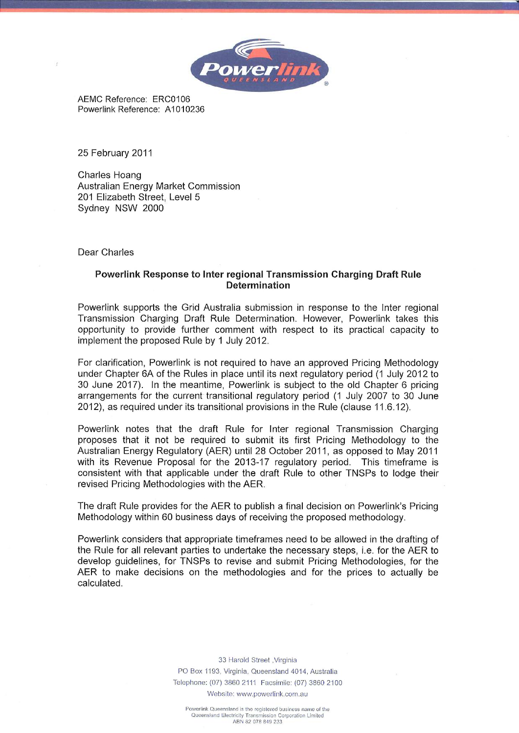

AEMC Reference: ERC0106 Powerlink Reference: A1010236

25 February 2011

Charles Hoang Australian Energy Market Commission 201 Elizabeth Street, Level 5 Sydney NSW 2000

Dear Charles

## Powerlink Response to Inter regional Transmission Charging Draft Rule Determination

Powerlink supports the Grid Australia submission in response to the Inter regional Transmission Charging Draft Rule Determination. However, Powerlink takes this opportunity to provide further comment with respect to its practical capacity to implement the proposed Rule by 1 July 2012.

For clarification, Powerlink is not required to have an approved Pricing Methodology under Chapter 6A of the Rules in place until its next regulatory period (1 July 2012 to 30 June 2017). In the meantime, Powerlink is subject to the old Chapter 6 pricing arrangements for the current transitional regulatory period (1 July 2007 to 30 June 2012), as required under its transitional provisions in the Rule (clause 11.6.12).

Powerlink notes that the draft Rule for Inter regional Transmission Charging proposes that it not be required to submit its first Pricing Methodology to the Australian Energy Regulatory (AER) until 28 October 2011, as opposed to May 2011 with its Revenue Proposal for the 2013-17 regulatory period. This timeframe is consistent with that applicable under the draft Rule to other TNSPs to lodge their revised Pricing Methodologies with the AER.

The draft Rule provides for the AER to publish a final decision on Powerlink's Pricing Methodology within 60 business days of receiving the proposed methodology.

Powerlink considers that appropriate timeframes need to be allowed in the drafting of the Rule for all relevant parties to undertake the necessary steps, i.e. for the AER to develop guidelines, for TNSPs to revise and submit Pricing Methodologies, for the AER to make decisions on the methodologies and for the prices to actually be calculated.

> 33 Harold Street ,Virginia PO Box 1193, Virginia, Queensland 4014, Australia Telephone: (07) 3860 2111 Facsimile: (07) 3860 2100 Website: www.powerlink.com.au

Powerlink Queensland is the registered business name of the Queensland Electricity Transmission Corporation Limited ABN 82 078 849 233